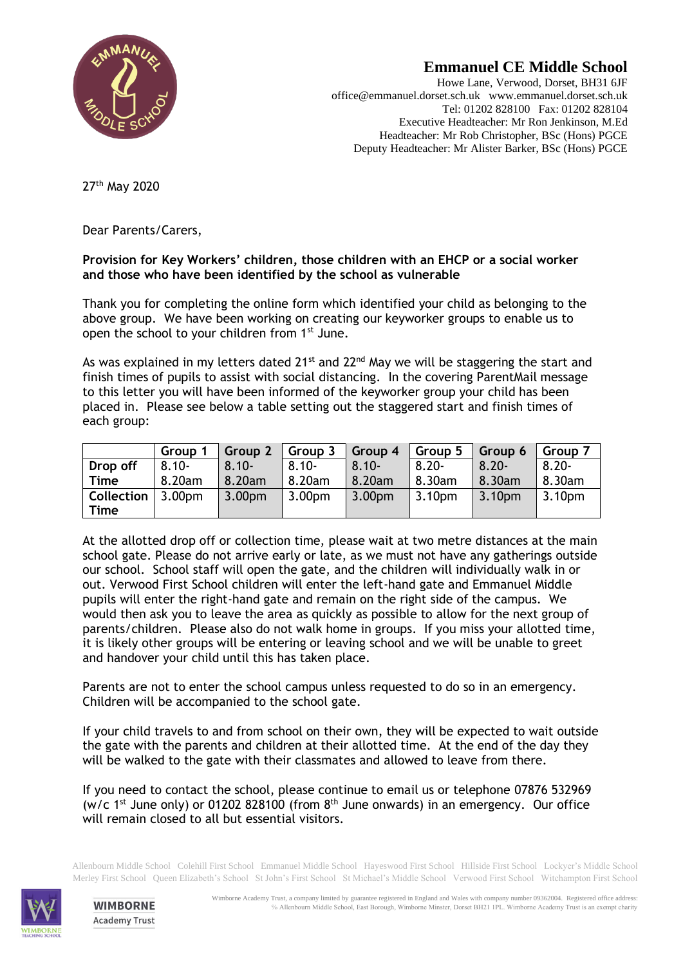

## **Emmanuel CE Middle School**

Howe Lane, Verwood, Dorset, BH31 6JF office@emmanuel.dorset.sch.uk www.emmanuel.dorset.sch.uk Tel: 01202 828100 Fax: 01202 828104 Executive Headteacher: Mr Ron Jenkinson, M.Ed Headteacher: Mr Rob Christopher, BSc (Hons) PGCE Deputy Headteacher: Mr Alister Barker, BSc (Hons) PGCE

27th May 2020

Dear Parents/Carers,

## **Provision for Key Workers' children, those children with an EHCP or a social worker and those who have been identified by the school as vulnerable**

Thank you for completing the online form which identified your child as belonging to the above group. We have been working on creating our keyworker groups to enable us to open the school to your children from 1st June.

As was explained in my letters dated  $21^{st}$  and  $22^{nd}$  May we will be staggering the start and finish times of pupils to assist with social distancing. In the covering ParentMail message to this letter you will have been informed of the keyworker group your child has been placed in. Please see below a table setting out the staggered start and finish times of each group:

|                                     | Group 1  | Group 2            | Group 3            | Group 4            | $\sqrt{G}$ Group 5 | Group 6            | Group 7  |
|-------------------------------------|----------|--------------------|--------------------|--------------------|--------------------|--------------------|----------|
| Drop off                            | $8.10 -$ | $8.10 -$           | $8.10 -$           | $8.10 -$           | $8.20 -$           | $8.20 -$           | $8.20 -$ |
| Time                                | 8.20am   | 8.20am             | 8.20am             | 8.20am             | 8.30am             | 8.30am             | 8.30am   |
| <b>Collection</b> $ 3.00 \text{pm}$ |          | 3.00 <sub>pm</sub> | 3.00 <sub>pm</sub> | 3.00 <sub>pm</sub> | 3.10pm             | 3.10 <sub>pm</sub> | 3.10pm   |
| Time                                |          |                    |                    |                    |                    |                    |          |

At the allotted drop off or collection time, please wait at two metre distances at the main school gate. Please do not arrive early or late, as we must not have any gatherings outside our school. School staff will open the gate, and the children will individually walk in or out. Verwood First School children will enter the left-hand gate and Emmanuel Middle pupils will enter the right-hand gate and remain on the right side of the campus. We would then ask you to leave the area as quickly as possible to allow for the next group of parents/children. Please also do not walk home in groups. If you miss your allotted time, it is likely other groups will be entering or leaving school and we will be unable to greet and handover your child until this has taken place.

Parents are not to enter the school campus unless requested to do so in an emergency. Children will be accompanied to the school gate.

If your child travels to and from school on their own, they will be expected to wait outside the gate with the parents and children at their allotted time. At the end of the day they will be walked to the gate with their classmates and allowed to leave from there.

If you need to contact the school, please continue to email us or telephone 07876 532969 (w/c  $1^{st}$  June only) or 01202 828100 (from  $8^{th}$  June onwards) in an emergency. Our office will remain closed to all but essential visitors.

Allenbourn Middle School Colehill First School Emmanuel Middle School Hayeswood First School Hillside First School Lockyer's Middle School Merley First School Queen Elizabeth's School St John's First School St Michael's Middle School Verwood First School Witchampton First School



**WIMBORNE Academy Trust**